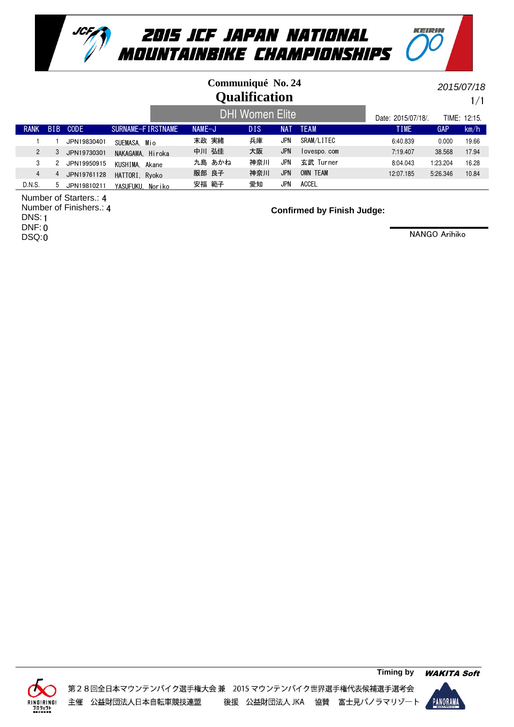

## **Qualification Communiqué No. 24**

1/1 2015/07/18

KEIRIN

|                |            |             |                   |          | <b>DHI Women Elite</b> | Date: 2015/07/18/. |             | TIME: 12:15. |          |       |
|----------------|------------|-------------|-------------------|----------|------------------------|--------------------|-------------|--------------|----------|-------|
| <b>RANK</b>    | <b>BIB</b> | CODE        | SURNAME-FIRSTNAME | $NAME-J$ | DIS                    | NAT                | <b>TEAM</b> | <b>TIME</b>  | GAP      | km/h  |
|                |            | JPN19830401 | SUEMASA. Mio      | 末政 実緒    | 兵庫                     | JPN                | SRAM/LITEC  | 6:40.839     | 0.000    | 19.66 |
| $\overline{2}$ | 3          | JPN19730301 | NAKAGAWA, Hiroka  | 中川 弘佳    | 大阪                     | <b>JPN</b>         | lovespo.com | 7:19.407     | 38.568   | 17.94 |
|                |            | JPN19950915 | KUSHIMA, Akane    | 九島 あかね   | 神奈川                    | <b>JPN</b>         | 玄武 Turner   | 8:04.043     | 1:23.204 | 16.28 |
| 4              |            | JPN19761128 | HATTORI. Ryoko    | 服部 良子    | 神奈川                    | <b>JPN</b>         | OWN TEAM    | 12:07.185    | 5:26.346 | 10.84 |
| D.N.S.         | b.         | JPN19810211 | YASUFUKU, Noriko  | 安福 範子    | 愛知                     | <b>JPN</b>         | ACCEL       |              |          |       |

Number of Starters.: 4

Number of Finishers.: 4 DNS: 1 DNF: 0 DSQ:0

**Confirmed by Finish Judge:**



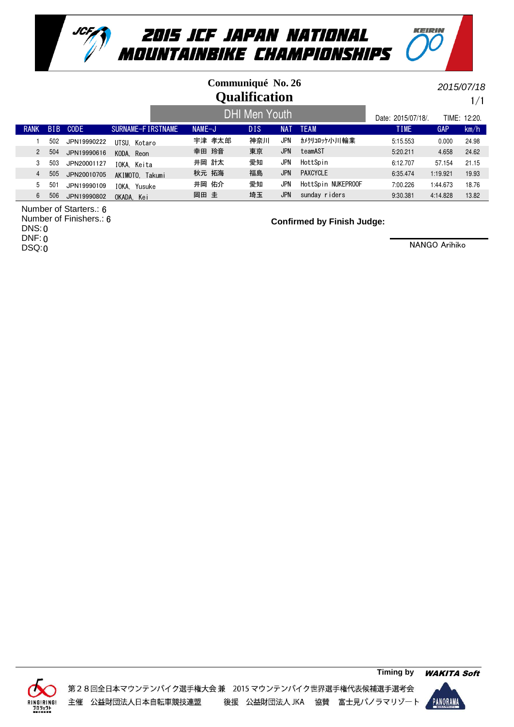

## **Qualification Communiqué No. 26**

1/1 2015/07/18

KEIPIN

#### RANK BIB CODE SURNAME-FIRSTNAME NAME-J DIS NAT TEAM TIME TIME GAP km/h Date: 2015/07/18/. TIME: 12:20. DHI Men Youth 1 502 JPN19990222 UTSU, Kotaro 宇津 孝太郎 神奈川 JPN カメクリコロッケ小川輪業 5:15.553 0.000 24.98 2 504 JPN19990616 KODA,Reon 幸田 玲音 東京 JPN teamAST 5:20.211 4.658 24.62 3 503 JPN20001127 IOKA, Keita 井岡 計太 愛知 JPN HottSpin 6:12.707 57.154 21.15 4 505 JPN20010705 AKIMOTO, Takumi 秋元拓海 福島 JPN PAXCYCLE 6:35.474 1:19.921 19.93 5 501 JPN19990109 井岡 佑介 HottSpin NUKEPROOF 愛知 7:00.226 1:44.673 18.76 IOKA, Yusuke JPN 6 506 JPN19990802 OKADA Kei 岡田 圭 埼玉 JPN sunday riders 9:30.381 4:14.828 13.82

Number of Starters.: 6 Number of Finishers.: 6 DNS: 0 DNF: 0

DSQ:0

**Confirmed by Finish Judge:**



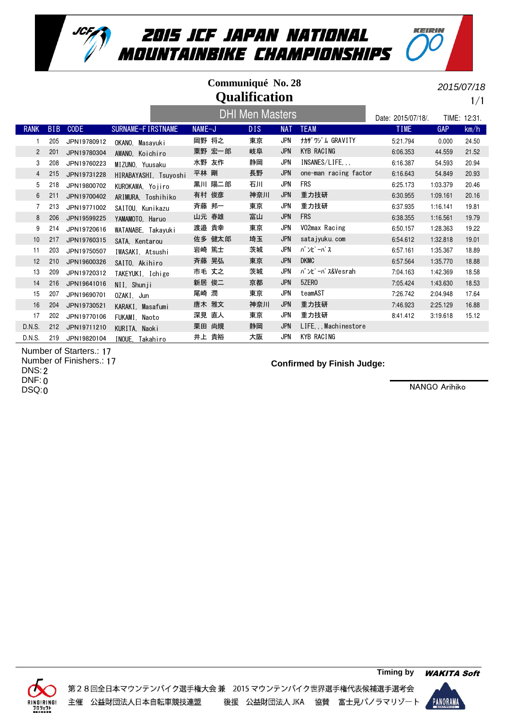

| Communiqué No. 28<br><b>Qualification</b> |            |             |                       |        |                        |            |                        |                    |          | 2015/07/18<br>1/1 |
|-------------------------------------------|------------|-------------|-----------------------|--------|------------------------|------------|------------------------|--------------------|----------|-------------------|
|                                           |            |             |                       |        | <b>DHI Men Masters</b> |            |                        | Date: 2015/07/18/. |          | TIME: 12:31.      |
| <b>RANK</b>                               | <b>BIB</b> | <b>CODE</b> | SURNAME-FIRSTNAME     | NAME-J | <b>DIS</b>             | <b>NAT</b> | <b>TEAM</b>            | <b>TIME</b>        | GAP      | km/h              |
|                                           | 205        | JPN19780912 | OKANO. Masavuki       | 岡野 将之  | 東京                     | <b>JPN</b> | <b>ナカザ ワゾム GRAVITY</b> | 5:21.794           | 0.000    | 24.50             |
| $\overline{c}$                            | 201        | JPN19780304 | AWANO. Koichiro       | 粟野 宏一郎 | 岐阜                     | <b>JPN</b> | <b>KYB RACING</b>      | 6:06.353           | 44.559   | 21.52             |
| 3                                         | 208        | JPN19760223 | MIZUNO. Yuusaku       | 水野 友作  | 静岡                     | <b>JPN</b> | INSANES/LIFE           | 6:16.387           | 54.593   | 20.94             |
| 4                                         | 215        | JPN19731228 | HIRABAYASHI, Tsuyoshi | 平林 剛   | 長野                     | <b>JPN</b> | one-man racing factor  | 6:16.643           | 54.849   | 20.93             |
| 5                                         | 218        | JPN19800702 | KUROKAWA, Yojiro      | 黒川 陽二郎 | 石川                     | <b>JPN</b> | <b>FRS</b>             | 6:25.173           | 1:03.379 | 20.46             |
| 6                                         | 211        | JPN19700402 | ARIMURA. Toshihiko    | 有村 俊彦  | 神奈川                    | <b>JPN</b> | 重力技研                   | 6:30.955           | 1:09.161 | 20.16             |
| $\overline{7}$                            | 213        | JPN19771002 | SAITOU, Kunikazu      | 斉藤 邦一  | 東京                     | <b>JPN</b> | 重力技研                   | 6:37.935           | 1:16.141 | 19.81             |
| 8                                         | 206        | JPN19599225 | YAMAMOTO. Haruo       | 山元 春雄  | 富山                     | <b>JPN</b> | <b>FRS</b>             | 6:38.355           | 1:16.561 | 19.79             |
| 9                                         | 214        | JPN19720616 | WATANABE. Takavuki    | 渡邉 貴幸  | 東京                     | <b>JPN</b> | VO2max Racing          | 6:50.157           | 1:28.363 | 19.22             |
| 10                                        | 217        | JPN19760315 | SATA. Kentarou        | 佐多 健太郎 | 埼玉                     | <b>JPN</b> | satajyuku.com          | 6:54.612           | 1:32.818 | 19.01             |
| 11                                        | 203        | JPN19750507 | IWASAKI. Atsushi      | 岩崎 篤士  | 茨城                     | JPN        | バンピーパス                 | 6:57.161           | 1:35.367 | 18.89             |
| 12                                        | 210        | JPN19600326 | SAITO, Akihiro        | 斉藤 晃弘  | 東京                     | <b>JPN</b> | <b>DKMC</b>            | 6:57.564           | 1:35.770 | 18.88             |
| 13                                        | 209        | JPN19720312 | TAKEYUKI, Ichige      | 市毛 丈之  | 茨城                     | <b>JPN</b> | n' ンピーパス&Vesrah        | 7:04.163           | 1:42.369 | 18.58             |
| 14                                        | 216        | JPN19641016 | NII, Shunji           | 新居 俊二  | 京都                     | <b>JPN</b> | 5ZER <sub>0</sub>      | 7:05.424           | 1:43.630 | 18.53             |
| 15                                        | 207        | JPN19690701 | OZAKI, Jun            | 尾崎 潤   | 東京                     | JPN        | teamAST                | 7:26.742           | 2:04.948 | 17.64             |
| 16                                        | 204        | JPN19730521 | KARAKI. Masafumi      | 唐木 雅文  | 神奈川                    | <b>JPN</b> | 重力技研                   | 7:46.923           | 2:25.129 | 16.88             |
| 17                                        | 202        | JPN19770106 | FUKAMI, Naoto         | 深見 直人  | 東京                     | JPN        | 重力技研                   | 8:41.412           | 3:19.618 | 15.12             |
| D.N.S.                                    | 212        | JPN19711210 | KURITA, Naoki         | 栗田 尚規  | 静岡                     | <b>JPN</b> | LIFEMachinestore       |                    |          |                   |
| D.N.S.                                    | 219        | JPN19820104 | INOUE. Takahiro       | 井上 貴裕  | 大阪                     | <b>JPN</b> | KYB RACING             |                    |          |                   |

Number of Starters.: 17 Number of Finishers.: 17

DNS: 2

DNF: 0

DSQ:0

#### **Confirmed by Finish Judge:**

NANGO Arihiko

KEIRIN



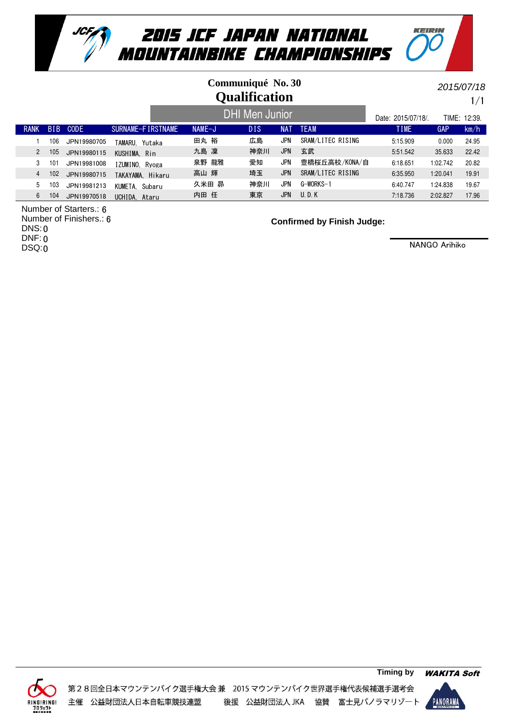

## **Qualification Communiqué No. 30**

 $1/1$ 2015/07/18

KEIRIN

|                      |            |             |                   |          | DHI Men Junior <sup>1</sup> |            |                   | Date: 2015/07/18/. |          | TIME: 12:39. |
|----------------------|------------|-------------|-------------------|----------|-----------------------------|------------|-------------------|--------------------|----------|--------------|
| <b>RANK</b>          | <b>BIB</b> | <b>CODE</b> | SURNAME-FIRSTNAME | $NAME-J$ | <b>DIS</b>                  | <b>NAT</b> | <b>TEAM</b>       | <b>TIME</b>        | GAP      | km/h         |
|                      | 106        | JPN19980705 | TAMARU. Yutaka    | 田丸 裕     | 広島                          | JPN        | SRAM/LITEC RISING | 5:15.909           | 0.000    | 24.95        |
| $\mathbf{2}^{\circ}$ | 105        | JPN19980115 | KUSHIMA, Rin      | 九島 凜     | 神奈川                         | JPN        | 玄武                | 5:51.542           | 35.633   | 22.42        |
|                      | 101        | JPN19981008 | IZUMINO. Ryoga    | 泉野 龍雅    | 愛知                          | JPN        | 豊橋桜丘高校/KONA/自     | 6:18.651           | 1:02.742 | 20.82        |
| 4                    | 102        | JPN19980715 | TAKAYAMA, Hikaru  | 高山 輝     | 埼玉                          | <b>JPN</b> | SRAM/LITEC RISING | 6:35.950           | 1:20.041 | 19.91        |
| 5                    | 103        | JPN19981213 | KUMETA. Subaru    | 久米田 昴    | 神奈川                         | JPN        | G-WORKS-1         | 6:40.747           | 1:24.838 | 19.67        |
| 6                    | 104        | JPN19970518 | UCHIDA. Ataru     | 内田 任     | 東京                          | JPN        | U, D, K           | 7:18.736           | 2:02.827 | 17.96        |

Number of Starters.: 6

Number of Finishers.: 6 DNS: 0 DNF: 0

DSQ:0

**Confirmed by Finish Judge:**



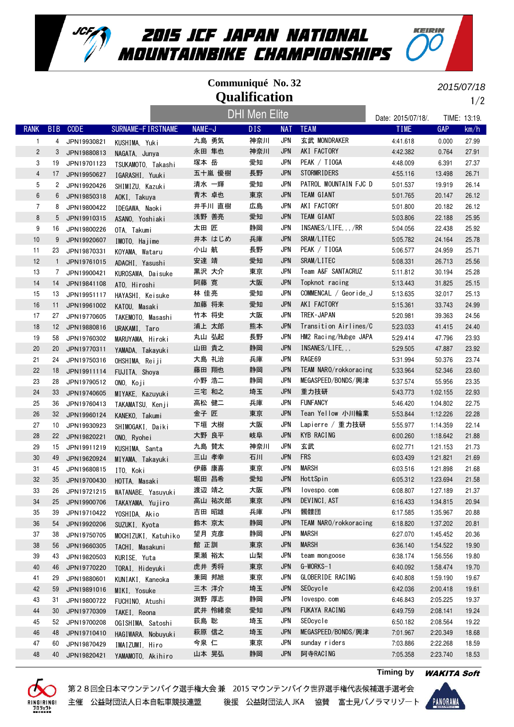

## **Qualification Communiqué No. 32**

2015/07/18

KEIRIN

1/2

|                |              |             |                                  |        | <b>DHI Men Elite</b> |            |                       | Date: 2015/07/18/. |            | TIME: 13:19. |
|----------------|--------------|-------------|----------------------------------|--------|----------------------|------------|-----------------------|--------------------|------------|--------------|
| <b>RANK</b>    | <b>BIB</b>   | <b>CODE</b> | SURNAME-FIRSTNAME                | NAME-J | <b>DIS</b>           | <b>NAT</b> | <b>TEAM</b>           | <b>TIME</b>        | <b>GAP</b> | km/h         |
| $\mathbf{1}$   | 4            | JPN19930821 | KUSHIMA, Yuki                    | 九島 勇気  | 神奈川                  | <b>JPN</b> | 玄武 MONDRAKER          | 4:41.618           | 0.000      | 27.99        |
| $\overline{c}$ | 3            | JPN19880813 | NAGATA, Junya                    | 永田 隼也  | 神奈川                  | <b>JPN</b> | AKI FACTORY           | 4:42.382           | 0.764      | 27.91        |
| 3              | 19           | JPN19701123 | TSUKAMOTO, Takashi               | 塚本 岳   | 愛知                   | <b>JPN</b> | PEAK / TIOGA          | 4:48.009           | 6.391      | 27.37        |
| $\overline{4}$ | 17           | JPN19950627 | IGARASHI, Yuuki                  | 五十嵐 優樹 | 長野                   | <b>JPN</b> | <b>STORMRIDERS</b>    | 4:55.116           | 13.498     | 26.71        |
| 5              | 2            | JPN19920426 | SHIMIZU, Kazuki                  | 清水 一輝  | 愛知                   | <b>JPN</b> | PATROL MOUNTAIN FJC D | 5:01.537           | 19.919     | 26.14        |
| 6              | 6            | JPN19850318 | AOKI, Takuya                     | 青木 卓也  | 東京                   | <b>JPN</b> | <b>TEAM GIANT</b>     | 5:01.765           | 20.147     | 26.12        |
| $\overline{7}$ | 8            | JPN19800422 | IDEGAWA, Naoki                   | 井手川 直樹 | 広島                   | <b>JPN</b> | AKI FACTORY           | 5:01.800           | 20.182     | 26.12        |
| 8              | 5            | JPN19910315 | ASANO, Yoshiaki                  | 浅野 善亮  | 愛知                   | <b>JPN</b> | TEAM GIANT            | 5:03.806           | 22.188     | 25.95        |
| 9              | 16           | JPN19800226 | OTA. Takumi                      | 太田 匠   | 静岡                   | <b>JPN</b> | INSANES/LIFE/RR       | 5:04.056           | 22.438     | 25.92        |
| 10             | 9            | JPN19920607 | IMOTO, Hajime                    | 井本 はじめ | 兵庫                   | <b>JPN</b> | SRAM/LITEC            | 5:05.782           | 24.164     | 25.78        |
| 11             | 23           | JPN19870331 | KOYAMA, Wataru                   | 小山 航   | 長野                   | <b>JPN</b> | PEAK / TIOGA          | 5:06.577           | 24.959     | 25.71        |
| 12             | $\mathbf{1}$ | JPN19761015 | ADACHI, Yasushi                  | 安達 靖   | 愛知                   | <b>JPN</b> | SRAM/LITEC            | 5:08.331           | 26.713     | 25.56        |
| 13             | 7            | JPN19900421 | KUROSAWA, Daisuke                | 黒沢 大介  | 東京                   | <b>JPN</b> | Team A&F SANTACRUZ    | 5:11.812           | 30.194     | 25.28        |
| 14             | 14           | JPN19841108 | ATO. Hiroshi                     | 阿藤 寛   | 大阪                   | JPN        | Topknot racing        | 5:13.443           | 31.825     | 25.15        |
| 15             | 13           | JPN19951117 | HAYASHI, Keisuke                 | 林 佳亮   | 愛知                   | <b>JPN</b> | COMMENCAL / Georide J | 5:13.635           | 32.017     | 25.13        |
| 16             | 11           | JPN19961002 | KATOU. Masaki                    | 加藤 将来  | 愛知                   | <b>JPN</b> | AKI FACTORY           | 5:15.361           | 33.743     | 24.99        |
| 17             | 27           | JPN19770605 | TAKEMOTO. Masashi                | 竹本 将史  | 大阪                   | <b>JPN</b> | TREK · JAPAN          | 5:20.981           | 39.363     | 24.56        |
| 18             | 12           | JPN19880816 | URAKAMI, Taro                    | 浦上 太郎  | 熊本                   | <b>JPN</b> | Transition Airlines/C | 5:23.033           | 41.415     | 24.40        |
| 19             | 58           | JPN19760302 | MARUYAMA, Hiroki                 | 丸山 弘起  | 長野                   | <b>JPN</b> | HM2 Racing/Hubge JAPA | 5:29.414           | 47.796     | 23.93        |
| 20             | 20           | JPN19770311 | YAMADA, Takayuki                 | 山田 貴之  | 静岡                   | <b>JPN</b> | INSANES/LIFE, , ,     | 5:29.505           | 47.887     | 23.92        |
| 21             | 24           | JPN19750316 | OHSHIMA, Reiji                   | 大島 礼治  | 兵庫                   | <b>JPN</b> | RAGE69                | 5:31.994           | 50.376     | 23.74        |
| 22             | 18           | JPN19911114 | FUJITA, Shoya                    | 藤田 翔也  | 静岡                   | <b>JPN</b> | TEAM NARO/rokkoracing | 5:33.964           | 52.346     | 23.60        |
| 23             | 28           | JPN19790512 | ONO. Koji                        | 小野 浩二  | 静岡                   | JPN        | MEGASPEED/BONDS/興津    | 5:37.574           | 55.956     | 23.35        |
| 24             | 33           | JPN19740605 | MIYAKE, Kazuyuki                 | 三宅 和之  | 埼玉                   | <b>JPN</b> | 重力技研                  | 5:43.773           | 1:02.155   | 22.93        |
| 25             | 36           | JPN19760413 | TAKAMATSU, Kenji                 | 高松 健二  | 兵庫                   | <b>JPN</b> | <b>FUNFANCY</b>       | 5:46.420           | 1:04.802   | 22.75        |
| 26             | 32           | JPN19960124 | KANEKO, Takumi                   | 金子 匠   | 東京                   | <b>JPN</b> | Tean Yellow 小川輪業      | 5:53.844           | 1:12.226   | 22.28        |
| 27             | 10           | JPN19930923 | SHIMOGAKI, Daiki                 | 下垣 大樹  | 大阪                   | <b>JPN</b> | Lapierre / 重力技研       | 5:55.977           | 1:14.359   | 22.14        |
| 28             | 22           | JPN19820221 | ONO, Ryohei                      | 大野 良平  | 岐阜                   | JPN        | KYB RACING            | 6:00.260           | 1:18.642   | 21.88        |
| 29             | 15           | JPN19911219 | KUSHIMA, Santa                   | 九島 賛太  | 神奈川                  | <b>JPN</b> | 玄武                    | 6:02.771           | 1:21.153   | 21.73        |
| 30             | 49           | JPN19620924 | MIYAMA, Takayuki                 | 三山 孝幸  | 石川                   | <b>JPN</b> | <b>FRS</b>            | 6:03.439           | 1:21.821   | 21.69        |
| 31             | 45           | JPN19680815 | ITO, Koki                        | 伊藤 康喜  | 東京                   | <b>JPN</b> | <b>MARSH</b>          | 6:03.516           | 1:21.898   | 21.68        |
| 32             | 35           | JPN19700430 | HOTTA, Masaki                    | 堀田 昌希  | 愛知                   | <b>JPN</b> | HottSpin              | 6:05.312           | 1:23.694   | 21.58        |
| 33             | 26           | JPN19721215 | WATANABE, Yasuyuki               | 渡辺 靖之  | 大阪                   | <b>JPN</b> | lovespo.com           | 6:08.807           | 1:27.189   | 21.37        |
| 34             | 25           | JPN19900706 | TAKAYAMA, Yujiro                 | 高山 祐次郎 | 東京                   | <b>JPN</b> | DEVINCI, AST          | 6:16.433           | 1:34.815   | 20.94        |
| 35             | 39           | JPN19710422 | YOSHIDA, Akio                    | 吉田 昭雄  | 兵庫                   | JPN        | 髑髏団                   | 6:17.585           | 1:35.967   | 20.88        |
| 36             | 54           | JPN19920206 | SUZUKI, Kyota                    | 鈴木 京太  | 静岡                   | <b>JPN</b> | TEAM NARO/rokkoracing | 6:18.820           | 1:37.202   | 20.81        |
| 37             | 38           | JPN19750705 | MOCHIZUKI, Katuhiko              | 望月 克彦  | 静岡                   | <b>JPN</b> | <b>MARSH</b>          | 6:27.070           | 1:45.452   | 20.36        |
| 38             | 56           | JPN19660305 | TACHI, Masakuni                  | 館 正訓   | 東京                   | <b>JPN</b> | <b>MARSH</b>          | 6:36.140           | 1:54.522   | 19.90        |
| 39             | 43           | JPN19820503 | KURISE, Yuta                     | 栗瀬 裕太  | 山梨                   | JPN        | team mongoose         | 6:38.174           | 1:56.556   | 19.80        |
| 40             | 46           | JPN19770220 | TORAI, Hideyuki                  | 虎井 秀将  | 東京                   | <b>JPN</b> | G-WORKS-1             | 6:40.092           | 1:58.474   | 19.70        |
| 41             | 29           | JPN19880601 |                                  | 兼岡 邦旭  | 東京                   | JPN        | GLOBERIDE RACING      | 6:40.808           | 1:59.190   | 19.67        |
| 42             | 59           | JPN19891016 | KUNIAKI, Kaneoka<br>MIKI, Yosuke | 三木 洋介  | 埼玉                   | <b>JPN</b> | SEOcycle              | 6:42.036           | 2:00.418   | 19.61        |
| 43             | 31           | JPN19800722 | FUCHINO. Atushi                  | 渕野 厚志  | 静岡                   | <b>JPN</b> | lovespo.com           | 6:46.843           | 2:05.225   | 19.37        |
| 44             | 30           | JPN19770309 |                                  | 武井 怜緒奈 | 愛知                   | <b>JPN</b> | FUKAYA RACING         | 6:49.759           | 2:08.141   | 19.24        |
| 45             | 52           | JPN19700208 | TAKEI, Reona                     | 荻島 聡   | 埼玉                   | <b>JPN</b> | SEOcycle              | 6:50.182           | 2:08.564   | 19.22        |
| 46             | 48           | JPN19710410 | OGISHIMA, Satoshi                | 萩原 信之  | 埼玉                   | <b>JPN</b> | MEGASPEED/BONDS/興津    | 7:01.967           | 2:20.349   | 18.68        |
| 47             | 60           | JPN19870429 | HAGIWARA, Nobuyuki               | 今泉 仁   | 東京                   | <b>JPN</b> | sunday riders         | 7:03.886           | 2:22.268   | 18.59        |
| 48             | 40           | JPN19820421 | IMAIZUMI, Hiro                   | 山本 晃弘  | 静岡                   | <b>JPN</b> | 阿寺RACING              | 7:05.358           | 2:23.740   | 18.53        |
|                |              |             | YAMAMOTO, Akihiro                |        |                      |            |                       |                    |            |              |





**Timing by** WAKITA Soft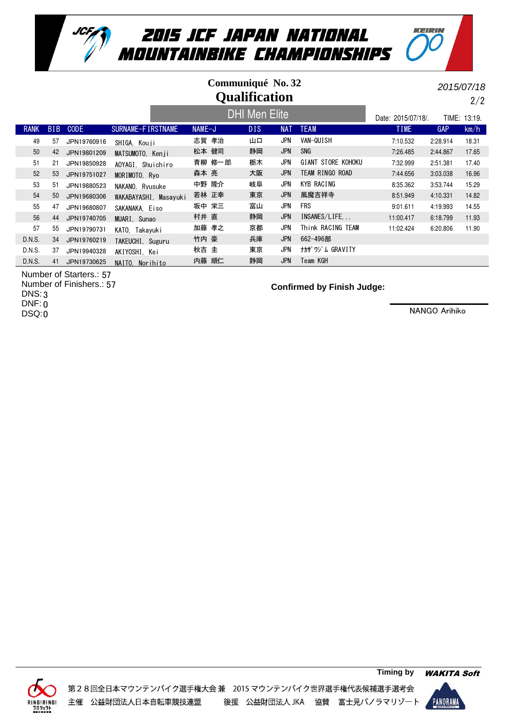

### Date: 2015/07/18/. TIME: 13:19. **Qualification Communiqué No. 32** DHI Men Elite

RANK BIB CODE SURNAME-FIRSTNAME NAME-J DIS NAT TEAM TIME TIME GAP km/h 49 57 JPN19760916 SHIGA, Kouji 志賀 孝治 山口 JPN VAN-QUISH 7:10.532 2:28.914 18.31 50 42 JPN19801209 MATSUMOTO, Kenji 松本健司 静岡 JPN SNG 7:26.485 2:44.867 17.65 51 21 JPN19850928 AOYAGI Shuichiro 青柳 修一郎 栃木 JPN GIANT STORE KOHOKU 7:32.999 2:51.381 17.40 52 53 JPN19751027 MORIMOTO,Ryo 森本 亮 大阪 JPN TEAM RINGO ROAD 7:44.656 3:03.038 16.96 53 51 JPN19880523 NAKANO, Ryusuke 中野 隆介 岐阜 JPN KYB RACING 8:35.362 3:53.744 15.29 54 50 JPN19680306 WAKABAYASHI, Masayuki 若林 正幸 東京 JPN 風魔吉祥寺 8:51.949 4:10.331 14.82 55 47 JPN19680807 SAKANAKA, Eiso 坂中 栄三 富山 JPN FRS 9:01.611 4:19.993 14.55 56 44 JPN19740705 MUARI,Sunao 村井 直 静岡 JPN INSANES/LIFE, , , 11:00.417 6:18.799 11.93 57 55 JPN19790731 KATO,Takayuki 加藤 孝之 京都 JPN Think RACING TEAM 11:02.424 6:20.806 11.90 D.N.S. 34 JPN19760219 TAKEUCHI, Suguru 竹内 豪 兵庫 JPN 662-496部 D.N.S. 37 JPN19940328 AKIYOSHI, Kei 秋吉圭 東京 JPN ナカザワジム GRAVITY D.N.S. 41 JPN19730625 NAITO, Norihito 内藤 順仁 静岡 JPN Team KGH

Number of Starters.: 57 Number of Finishers.: 57

DNS: 3

DNF: 0

DSQ:0

**Confirmed by Finish Judge:**

NANGO Arihiko

2/2

2015/07/18

KEIPIN



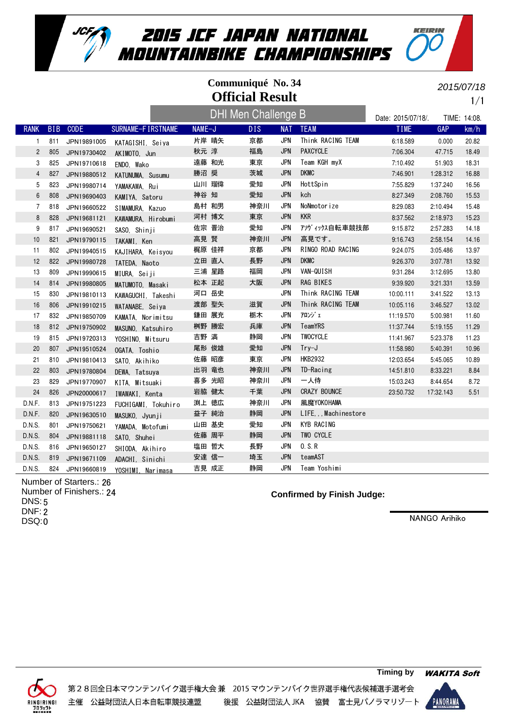

|                 | Communiqué No. 34<br><b>Official Result</b> |             |                     |        |       |                            |     |            |                        |                    | 2015/07/18   | 1/1   |
|-----------------|---------------------------------------------|-------------|---------------------|--------|-------|----------------------------|-----|------------|------------------------|--------------------|--------------|-------|
|                 |                                             |             |                     |        |       | <b>DHI Men Challenge B</b> |     |            |                        | Date: 2015/07/18/. | TIME: 14:08. |       |
| <b>RANK</b>     | B <sub>IB</sub>                             | <b>CODE</b> | SURNAME-FIRSTNAME   | NAME-J |       | <b>DIS</b>                 |     | <b>NAT</b> | <b>TEAM</b>            | <b>TIME</b>        | <b>GAP</b>   | km/h  |
| $\mathbf{1}$    | 811                                         | JPN19891005 | KATAGISHI, Seiya    |        | 片岸 晴矢 | 京都                         |     | <b>JPN</b> | Think RACING TEAM      | 6:18.589           | 0.000        | 20.82 |
| $\overline{c}$  | 805                                         | JPN19730402 | AKIMOTO, Jun        | 秋元 淳   |       | 福島                         |     | <b>JPN</b> | <b>PAXCYCLE</b>        | 7:06.304           | 47.715       | 18.49 |
| 3               | 825                                         | JPN19710618 | ENDO, Wako          |        | 遠藤 和光 | 東京                         |     | <b>JPN</b> | Team KGH myX           | 7:10.492           | 51.903       | 18.31 |
| $\overline{4}$  | 827                                         | JPN19880512 | KATUNUMA, Susumu    | 勝沼 奨   |       | 茨城                         |     | <b>JPN</b> | <b>DKMC</b>            | 7:46.901           | 1:28.312     | 16.88 |
| 5               | 823                                         | JPN19980714 | YAMAKAWA, Rui       |        | 山川 瑠偉 | 愛知                         |     | <b>JPN</b> | HottSpin               | 7:55.829           | 1:37.240     | 16.56 |
| $6\phantom{1}6$ | 808                                         | JPN19690403 | KAMIYA, Satoru      | 神谷 知   |       | 愛知                         |     | <b>JPN</b> | kch                    | 8:27.349           | 2:08.760     | 15.53 |
| $\overline{7}$  | 818                                         | JPN19660522 | SIMAMURA, Kazuo     |        | 島村 和男 |                            | 神奈川 | <b>JPN</b> | NoNmotorize            | 8:29.083           | 2:10.494     | 15.48 |
| 8               | 828                                         | JPN19681121 | KAWAMURA, Hirobumi  |        | 河村 博文 | 東京                         |     | <b>JPN</b> | <b>KKR</b>             | 8:37.562           | 2:18.973     | 15.23 |
| 9               | 817                                         | JPN19690521 | SASO, Shinji        |        | 佐宗 晋治 | 愛知                         |     | <b>JPN</b> | アソヴィックス自転車競技部          | 9:15.872           | 2:57.283     | 14.18 |
| 10              | 821                                         | JPN19790115 | TAKAMI, Ken         | 高見 賢   |       |                            | 神奈川 | <b>JPN</b> | 高見です。                  | 9:16.743           | 2:58.154     | 14.16 |
| 11              | 802                                         | JPN19940515 | KAJIHARA, Keisyou   |        | 梶原 佳祥 | 京都                         |     | <b>JPN</b> | RINGO ROAD RACING      | 9:24.075           | 3:05.486     | 13.97 |
| 12              | 822                                         | JPN19980728 | TATEDA, Naoto       |        | 立田 直人 | 長野                         |     | <b>JPN</b> | <b>DKMC</b>            | 9:26.370           | 3:07.781     | 13.92 |
| 13              | 809                                         | JPN19990615 | MIURA, Seiji        |        | 三浦 星路 | 福岡                         |     | JPN        | VAN-QUISH              | 9:31.284           | 3:12.695     | 13.80 |
| 14              | 814                                         | JPN19980805 | MATUMOTO, Masaki    |        | 松本 正起 | 大阪                         |     | <b>JPN</b> | RAG BIKES              | 9:39.920           | 3:21.331     | 13.59 |
| 15              | 830                                         | JPN19810113 | KAWAGUCHI, Takeshi  |        | 河口 岳史 |                            |     | <b>JPN</b> | Think RACING TEAM      | 10:00.111          | 3:41.522     | 13.13 |
| 16              | 806                                         | JPN19910215 | WATANABE, Seiya     |        | 渡部 聖矢 | 滋賀                         |     | <b>JPN</b> | Think RACING TEAM      | 10:05.116          | 3:46.527     | 13.02 |
| 17              | 832                                         | JPN19850709 | KAMATA, Norimitsu   |        | 鎌田 展充 | 栃木                         |     | JPN        | アロンジェ                  | 11:19.570          | 5:00.981     | 11.60 |
| 18              | 812                                         | JPN19750902 | MASUNO, Katsuhiro   |        | 桝野 勝宏 | 兵庫                         |     | <b>JPN</b> | TeamYRS                | 11:37.744          | 5:19.155     | 11.29 |
| 19              | 815                                         | JPN19720313 | YOSHINO, Mitsuru    | 吉野 満   |       | 静岡                         |     | <b>JPN</b> | <b>TWOCYCLE</b>        | 11:41.967          | 5:23.378     | 11.23 |
| 20              | 807                                         | JPN19510524 | OGATA, Toshio       |        | 尾形 俊雄 | 愛知                         |     | <b>JPN</b> | $Try-J$                | 11:58.980          | 5:40.391     | 10.96 |
| 21              | 810                                         | JPN19810413 | SATO, Akihiko       |        | 佐藤 昭彦 | 東京                         |     | <b>JPN</b> | <b>HKB2932</b>         | 12:03.654          | 5:45.065     | 10.89 |
| 22              | 803                                         | JPN19780804 | DEWA, Tatsuya       |        | 出羽 竜也 |                            | 神奈川 | <b>JPN</b> | TD-Racing              | 14:51.810          | 8:33.221     | 8.84  |
| 23              | 829                                         | JPN19770907 | KITA, Mitsuaki      |        | 喜多 光昭 |                            | 神奈川 | JPN        | 一人侍                    | 15:03.243          | 8:44.654     | 8.72  |
| 24              | 826                                         | JPN20000617 | IWAWAKI, Kenta      |        | 岩脇 健太 | 千葉                         |     | <b>JPN</b> | CRAZY BOUNCE           | 23:50.732          | 17:32.143    | 5.51  |
| D.N.F.          | 813                                         | JPN19751223 | FUCHIGAMI, Tokuhiro |        | 渕上 徳広 |                            | 神奈川 | <b>JPN</b> | 風魔YOKOHAMA             |                    |              |       |
| D.N.F.          | 820                                         | JPN19630510 | MASUKO, Jyunji      |        | 益子 純治 | 静岡                         |     | <b>JPN</b> | LIFE, , , Machinestore |                    |              |       |
| D.N.S.          | 801                                         | JPN19750621 | YAMADA. Motofumi    |        | 山田 基史 | 愛知                         |     | JPN        | KYB RACING             |                    |              |       |
| D.N.S.          | 804                                         | JPN19881118 | SATO, Shuhei        |        | 佐藤 周平 | 静岡                         |     | <b>JPN</b> | TWO CYCLE              |                    |              |       |
| D.N.S.          | 816                                         | JPN19650127 | SHIODA, Akihiro     |        | 塩田 哲大 | 長野                         |     | <b>JPN</b> | 0. S. R                |                    |              |       |
| D.N.S.          | 819                                         | JPN19671109 | ADACHI, Sinichi     |        | 安達 信一 | 埼玉                         |     | <b>JPN</b> | teamAST                |                    |              |       |
| D.N.S.          | 824                                         | JPN19660819 | YOSHIMI, Narimasa   |        | 吉見 成正 | 静岡                         |     | <b>JPN</b> | Team Yoshimi           |                    |              |       |

Number of Starters.: 26

Number of Finishers.: 24 5 DNS: DNF: 2 DSQ:0

**Confirmed by Finish Judge:**

NANGO Arihiko

KEIRIN



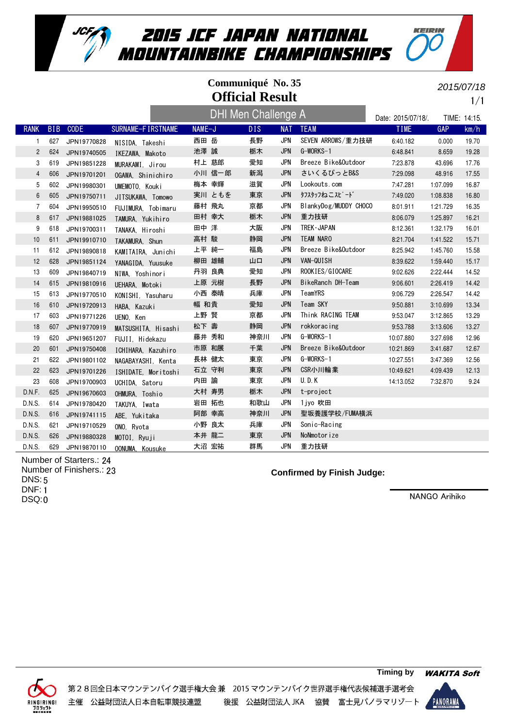

# **Official Result Communiqué No. 35** DHI Men Challenge A

1/1 2015/07/18

KEIRIN

|                |            |             |                     | <b>DHI Men Challenge A</b> |      |            |                       | Date: 2015/07/18/. |          | TIME: 14:15. |
|----------------|------------|-------------|---------------------|----------------------------|------|------------|-----------------------|--------------------|----------|--------------|
| <b>RANK</b>    | <b>BIB</b> | <b>CODE</b> | SURNAME-FIRSTNAME   | NAME-J                     | DIS. | <b>NAT</b> | <b>TEAM</b>           | <b>TIME</b>        | GAP      | km/h         |
| $\mathbf{1}$   | 627        | JPN19770828 | NISIDA, Takeshi     | 西田 岳                       | 長野   | <b>JPN</b> | SEVEN ARROWS/重力技研     | 6:40.182           | 0.000    | 19.70        |
| $\overline{2}$ | 624        | JPN19740505 | IKEZAWA, Makoto     | 池澤 誠                       | 栃木   | <b>JPN</b> | G-WORKS-1             | 6:48.841           | 8.659    | 19.28        |
| 3              | 619        | JPN19851228 | MURAKAMI. Jirou     | 村上 慈郎                      | 愛知   | <b>JPN</b> | Breeze Bike&Outdoor   | 7:23.878           | 43.696   | 17.76        |
| 4              | 606        | JPN19701201 | OGAWA, Shinichiro   | 小川 信一郎                     | 新潟   | <b>JPN</b> | さいくるぴっとB&S            | 7:29.098           | 48.916   | 17.55        |
| 5              | 602        | JPN19980301 | UMEMOTO, Kouki      | 梅本 幸輝                      | 滋賀   | <b>JPN</b> | Lookouts.com          | 7:47.281           | 1:07.099 | 16.87        |
| 6              | 605        | JPN19750711 | JITSUKAWA. Tomowo   | 実川 ともを                     | 東京   | <b>JPN</b> | タフスタッフねこスピード          | 7:49.020           | 1:08.838 | 16.80        |
| 7              | 604        | JPN19950510 | FUJIMURA. Tobimaru  | 藤村 飛丸                      | 京都   | <b>JPN</b> | BlankyDog/MUDDY CHOCO | 8:01.911           | 1:21.729 | 16.35        |
| 8              | 617        | JPN19881025 | TAMURA, Yukihiro    | 田村 幸大                      | 栃木   | <b>JPN</b> | 重力技研                  | 8:06.079           | 1:25.897 | 16.21        |
| 9              | 618        | JPN19700311 | TANAKA, Hiroshi     | 田中 洋                       | 大阪   | <b>JPN</b> | TREK - JAPAN          | 8:12.361           | 1:32.179 | 16.01        |
| 10             | 611        | JPN19910710 | TAKAMURA, Shun      | 高村 駿                       | 静岡   | <b>JPN</b> | <b>TEAM NARO</b>      | 8:21.704           | 1:41.522 | 15.71        |
| 11             | 612        | JPN19890818 | KAMITAIRA, Junichi  | 上平 純一                      | 福島   | <b>JPN</b> | Breeze Bike&Outdoor   | 8:25.942           | 1:45.760 | 15.58        |
| 12             | 628        | JPN19851124 | YANAGIDA, Yuusuke   | 柳田 雄輔                      | 山口   | <b>JPN</b> | VAN-QUISH             | 8:39.622           | 1:59.440 | 15.17        |
| 13             | 609        | JPN19840719 | NIWA, Yoshinori     | 丹羽 良典                      | 愛知   | <b>JPN</b> | ROOKIES/GIOCARE       | 9:02.626           | 2:22.444 | 14.52        |
| 14             | 615        | JPN19810916 | UEHARA, Motoki      | 上原 元樹                      | 長野   | <b>JPN</b> | BikeRanch DH-Team     | 9:06.601           | 2:26.419 | 14.42        |
| 15             | 613        | JPN19770510 | KONISHI. Yasuharu   | 小西 泰晴                      | 兵庫   | <b>JPN</b> | TeamYRS               | 9:06.729           | 2:26.547 | 14.42        |
| 16             | 610        | JPN19720913 | HABA, Kazuki        | 幅 和貴                       | 愛知   | <b>JPN</b> | Team SKY              | 9:50.881           | 3:10.699 | 13.34        |
| 17             | 603        | JPN19771226 | UENO, Ken           | 上野 賢                       | 京都   | <b>JPN</b> | Think RACING TEAM     | 9:53.047           | 3:12.865 | 13.29        |
| 18             | 607        | JPN19770919 | MATSUSHITA, Hisashi | 松下 壽                       | 静岡   | <b>JPN</b> | rokkoracing           | 9:53.788           | 3:13.606 | 13.27        |
| 19             | 620        | JPN19651207 | FUJII. Hidekazu     | 藤井 秀和                      | 神奈川  | <b>JPN</b> | G-WORKS-1             | 10:07.880          | 3:27.698 | 12.96        |
| 20             | 601        | JPN19750408 | ICHIHARA, Kazuhiro  | 市原 和展                      | 千葉   | <b>JPN</b> | Breeze Bike&Outdoor   | 10:21.869          | 3:41.687 | 12.67        |
| 21             | 622        | JPN19801102 | NAGABAYASHI, Kenta  | 長林 健太                      | 東京   | <b>JPN</b> | G-WORKS-1             | 10:27.551          | 3:47.369 | 12.56        |
| 22             | 623        | JPN19701226 | ISHIDATE, Moritoshi | 石立 守利                      | 東京   | <b>JPN</b> | CSR小川輪業               | 10:49.621          | 4:09.439 | 12.13        |
| 23             | 608        | JPN19700903 | UCHIDA, Satoru      | 内田 諭                       | 東京   | <b>JPN</b> | <b>U.D.K</b>          | 14:13.052          | 7:32.870 | 9.24         |
| D.N.F.         | 625        | JPN19670603 | OHMURA, Toshio      | 大村 寿男                      | 栃木   | <b>JPN</b> | t-project             |                    |          |              |
| D.N.S.         | 614        | JPN19780420 | TAKUYA, Iwata       | 岩田 拓也                      | 和歌山  | JPN        | 1 jyo 吹田              |                    |          |              |
| D.N.S.         | 616        | JPN19741115 | ABE, Yukitaka       | 阿部 幸高                      | 神奈川  | <b>JPN</b> | 聖坂養護学校/FUMA横浜         |                    |          |              |
| D.N.S.         | 621        | JPN19710529 | ONO, Ryota          | 小野 良太                      | 兵庫   | <b>JPN</b> | Sonic-Racing          |                    |          |              |
| D.N.S.         | 626        | JPN19880328 | MOTOI, Ryuji        | 本井 龍二                      | 東京   | <b>JPN</b> | NoNmotorize           |                    |          |              |
| D.N.S.         | 629        | JPN19870110 | OONUMA. Kousuke     | 大沼 宏祐                      | 群馬   | <b>JPN</b> | 重力技研                  |                    |          |              |

Number of Starters.: 24 Number of Finishers.: 23 5 DNS: DNF: 1 DSQ:0

#### **Confirmed by Finish Judge:**

NANGO Arihiko



第28回全日本マウンテンバイク選手権大会兼 2015 マウンテンバイク世界選手権代表候補選手選考会 後援 公益財団法人 JKA 協賛 富士見パノラマリゾート 主催 公益財団法人日本自転車競技連盟

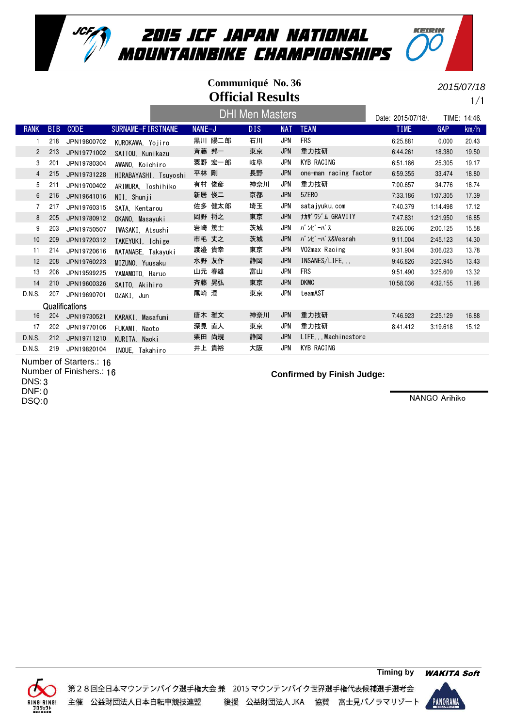

#### RANK BIB CODE SURNAME-FIRSTNAME NAME-J DIS NAT TEAM TEAM TIME GAP km/h Date: 2015/07/18/. TIME: 14:46. **Official Results Communiqué No. 36** 1/1 2015/07/18 DHI Men Masters 1 218 JPN19800702 KUROKAWA, Yojiro 黒川 陽二郎 石川 JPN FRS 6:25.881 0.000 20.43 2 213 JPN19771002 SAITOU, Kunikazu 斉藤 邦一 東京 JPN 重力技研 6:44.261 18.380 19.50 3 201 JPN19780304 AWANO,Koichiro 粟野 宏一郎 岐阜 JPN KYB RACING 6:51.186 25.305 19.17 4 215 JPN19731228 HIRABAYASHI Tsuyoshi 平林 剛 長野 JPN one-man racing factor 6:59.355 33.474 18.80 5 211 JPN19700402 ARIMURA, Toshihiko 有村 俊彦 神奈川 JPN 重力技研 7:00.657 34.776 18.74 6 216 JPN19641016 NII, Shunji 新居 俊二 京都 JPN 5ZERO 7:33.186 1:07.305 17.39 7 217 JPN19760315 SATA,Kentarou 佐多 健太郎 埼玉 JPN satajyuku.com 7:40.379 1:14.498 17.12 8 205 JPN19780912 OKANO, Masayuki 岡野 将之 東京 JPN ナカザワジム GRAVITY 7:47.831 1:21.950 16.85 9 203 JPN19750507 IWASAKI Atsushi 岩崎 篤士 茨城 JPN バンピーパス 8:26.006 2:00.125 15.58 10 209 JPN19720312 TAKEYUKI, Ichige 市毛 丈之 茨城 JPN バンピーパス&Vesrah 9:11.004 2:45.123 14.30 11 214 JPN19720616 WATANABE, Takayuki 渡邉貴幸 東京 JPN V02max Racing 9:31.904 3:06.023 13.78 12 208 JPN19760223 MIZUNO, Yuusaku 水野 友作 静岡 JPN INSANES/LIFE,,, 9:46.826 3:20.945 13.43 13 206 JPN19599225 YAMAMOTO, Haruo 山元 春雄 富山 JPN FRS 9:51.490 3:25.609 13.32 14 210 JPN19600326 SAITO, Akihiro 斉藤 晃弘 東京 JPN DKMC 10:58.036 4:32.155 11.98 D.N.S. 207 JPN19690701 0ZAKI, Jun 尾崎 潤 東京 JPN teamAST **Qualifications** 16 204 JPN19730521 KARAKI, Masafumi 唐木 雅文 神奈川 JPN 重力技研 7:46.923 2:25.129 16.88 17 202 JPN19770106 FUKAMI, Naoto 深見 直人 東京 JPN 重力技研 8:41.412 3:19.618 15.12 D.N.S. 212 JPN19711210 KURITA Naoki 栗田 尚規 静岡 JPN LIFE,,,Machinestore

D.N.S. 219 JPN19820104 INOUE Takahiro #上 貴裕 大阪 JPN KYB RACING

Number of Starters.: 16 Number of Finishers.: 16 DNS: 3 DNF: 0 DSQ:0

#### **Confirmed by Finish Judge:**

NANGO Arihiko

KEIPIN



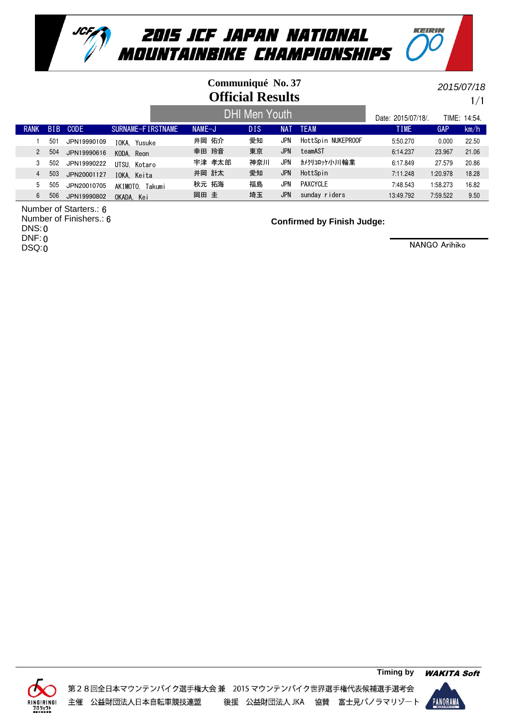

## **Official Results Communiqué No. 37**

2015/07/18

KEIPIN

#### RANK BIB CODE SURNAME-FIRSTNAME NAME-J DIS NAT TEAM TIME TIME GAP km/h Date: 2015/07/18/. TIME: 14:54. 1/1 DHI Men Youth 1 501 JPN19990109 IOKA, Yusuke 井岡 佑介 愛知 JPN HottSpin NUKEPROOF 5:50.270 0.000 22.50 2 504 JPN19990616 KODA,Reon 幸田 玲音 東京 JPN teamAST 6:14.237 23.967 21.06 3 502 JPN19990222 UTSU Kotaro 宇津 孝太郎 神奈川 JPN カメクリコロッケ小川輪業 6:17.849 27.579 20.86 4 503 JPN20001127 IOKA, Keita 井岡 計太 愛知 JPN HottSpin 7:11.248 1:20.978 18.28 5 505 JPN20010705 AKIMOTO, Takumi 秋元 拓海 福島 JPN PAXCYCLE 7:48.543 1:58.273 16.82 6 506 JPN19990802 OKADA Kei 埼玉 JPN sunday riders 13:49.792 7:59.522 9.50

Number of Starters.: 6 Number of Finishers.: 6 DNS: 0 DNF: 0

DSQ:0

**Confirmed by Finish Judge:**



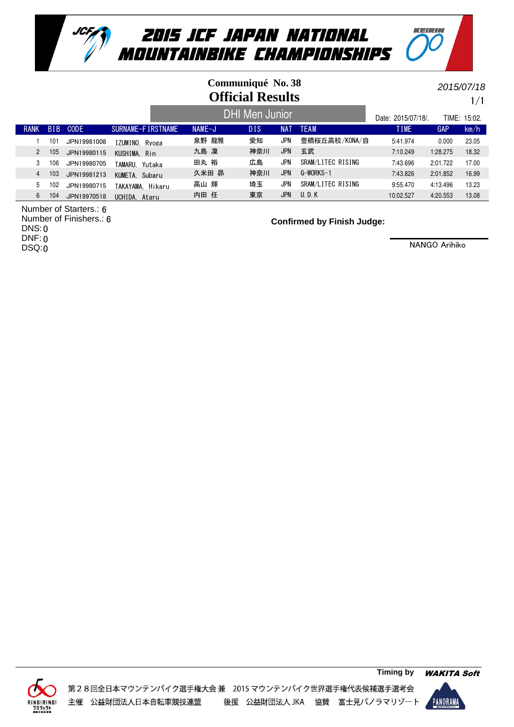

## **Official Results Communiqué No. 38**

1/1 2015/07/18

KEIPIN

#### RANK BIB CODE SURNAME-FIRSTNAME NAME-J DIS NAT TEAM TIME TIME GAP km/h Date: 2015/07/18/. TIME: 15:02. DHI Men Junior 1 101 JPN19981008 IZUMINO, Ryoga 泉野 龍雅 愛知 JPN 豊橋桜丘高校/KONA/自 5:41.974 0.000 23.05 2 105 JPN19980115 KUSHIMA, Rin 九島 凜 神奈川 JPN 玄武 7:10.249 1:28.275 18.32 3 106 JPN19980705 TAMARU, Yutaka 田丸 裕 広島 JPN SRAM/LITEC RISING 7:43.696 2:01.722 17.00 4 103 JPN19981213 久米田 昴 G-WORKS-1 神奈川 7:43.826 2:01.852 16.99 KUMETA, Subaru JPN 5 102 JPN19980715 TAKAYAMA, Hikaru 高山 輝 埼玉 JPN SRAM/LITEC RISING 9:55.470 4:13.496 13.23<br>6 104 JPN19970518 JCHIDA Ataru 内田 任 東京 JPN U.D.K 10:02.527 4:20.553 13.08 6 104 JPN19970518 UCHIDA Ataru 内田 任 東京 JPN U.D.K 10:02.527 4:20.553 13.08

Number of Starters.: 6

Number of Finishers.: 6 DNS: 0 DNF: 0

DSQ:0

**Confirmed by Finish Judge:**



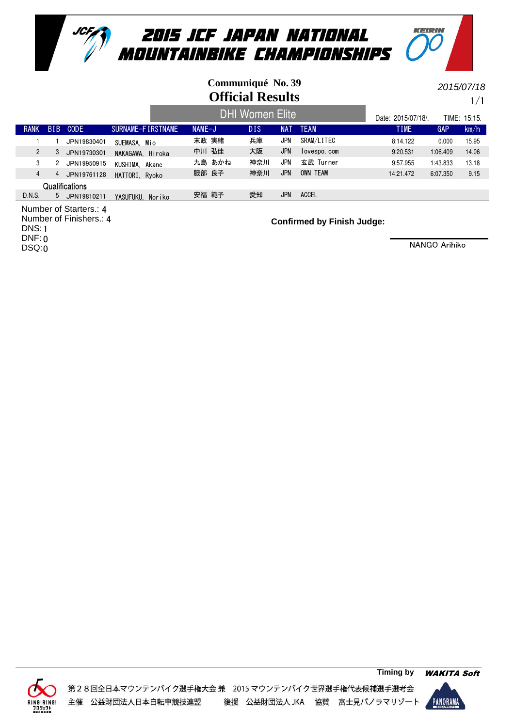

## **Official Results Communiqué No. 39**

1/1 2015/07/18

KEIPIN

#### RANK BIB CODE SURNAME-FIRSTNAME NAME-J DIS NAT TEAM TIME TIME GAP km/h Date: 2015/07/18/. TIME: 15:15. DHI Women Elite 1 1 JPN19830401 SUEMASA, Mio 末政 実緒 兵庫 JPN SRAM/LITEC 8:14.122 0.000 15.95 2 3 JPN19730301 NAKAGAWA, Hiroka 中川 弘佳 大阪 JPN lovespo.com 9:20.531 1:06.409 14.06 3 2 JPN19950915 KUSHIMA, Akane カ島あかね 神奈川 JPN 玄武 Turner 9:57.955 1:43.833 13.18 4 4 JPN19761128 HATTORI Rvoko 服部 良子 神奈川 JPN OWN TEAM 14:21.472 6:07.350 9.15 **Qualifications** D.N.S. 5 JPN19810211 YASUFUKU, Noriko 安福範子 愛知 JPN ACCEL

Number of Starters.: 4 Number of Finishers.: 4 DNS: 1 DNF: 0

DSQ:0

**Confirmed by Finish Judge:**



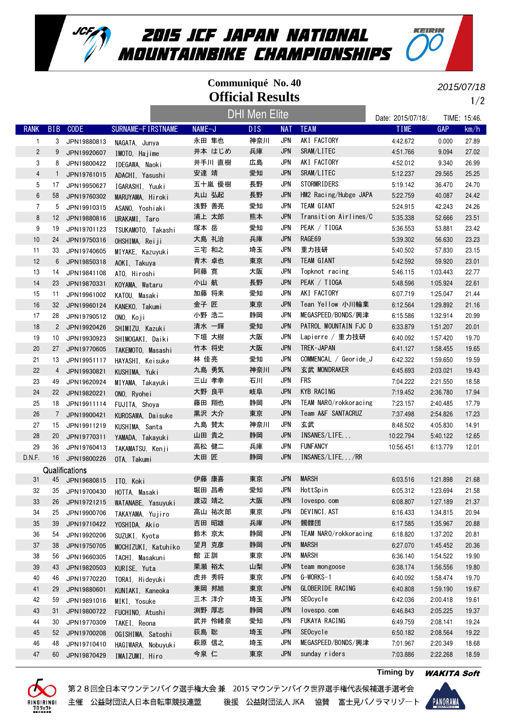

### **Official Results Communiqué No. 40**

2015/07/18

KEIPIN

RANK BIB CODE SURNAME-FIRSTNAME NAME-J DIS NAT TEAM TEAM TIME GAP km/h Date: 2015/07/18/. TIME: 15:46. 1/2 DHI Men Elite 1 3 JPN19880813 NAGATA, Junya 永田 隼也 神奈川 JPN AKI FACTORY 4:42.672 0.000 27.89 2 9 JPN19920607 IMOTO, Hajime 井本 はじめ 兵庫 JPN SRAM/LITEC 4:51.766 9.094 27.02 3 8 JPN19800422 IDEGAWA, Naoki 井手川 直樹 広島 JPN AKI FACTORY 4:52.012 9.340 26.99 4 1 JPN19761015 ADACHI Yasushi 安達 靖 愛知 JPN SRAM/LITEC 5:12.237 29.565 25.25 5 17 JPN19950627 IGARASHI, Yuuki 五十嵐 優樹 長野 JPN STORMRIDERS 5:19.142 36.470 24.70 6 58 JPN19760302 MARUYAMA, Hiroki 丸山 弘起 長野 JPN HM2 Racing/Hubge JAPA 5:22.759 40.087 24.42 7 5 JPN19910315 ASANO,Yoshiaki 浅野 善亮 愛知 JPN TEAM GIANT 5:24.915 42.243 24.26 8 12 JPN19880816 URAKAMI, Taro 浦上太郎 熊本 JPN Transition Airlines/C 5:35.338 52.666 23.51 9 19 JPN19701123 TSUKAMOTO, Takashi 塚本岳 愛知 JPN PEAK / TIOGA 5:36.553 53.881 23.42 10 24 JPN19750316 OHSHIMA, Reiji 大島 礼治 兵庫 JPN RAGE69 5:39.302 56.630 23.23 11 33 JPN19740605 MIYAKE Kazuvuki 三宅 和之 埼玉 JPN 重力技研 5:40.502 57.830 23.15 12 6 JPN19850318 A0KI, Takuya 青木 卓也 東京 JPN TEAM GIANT 5:42.592 59.920 23.01 13 14 JPN19841108 ATO, Hiroshi 阿藤 寛 大阪 JPN Topknot racing 5:46.115 1:03.443 22.77 14 23 JPN19870331 KOYAMA, Wataru 小山 航 長野 JPN PEAK / TIOGA 5:48.596 1:05.924 22.61 15 11 JPN19961002 KATOU,Masaki 加藤 将来 愛知 JPN AKI FACTORY 6:07.719 1:25.047 21.44 16 32 JPN19960124 KANEKO, Takumi 金子 匠 東京 JPN Tean Yellow 小川輪業 6:12.564 1:29.892 21.16 17 28 JPN19790512 ONO Koji 小野 浩二 静岡 JPN MEGASPEED/BONDS/興津 6:15.586 1:32.914 20.99 18 2 JPN19920426 SHIMIZU Kazuki 清水 輝 愛知 JPN PATROL MOUNTAIN FJC D 6:33.879 1:51.207 20.01 19 10 JPN19930923 SHIMOGAKI,Daiki 下垣 大樹 大阪 JPN Lapierre / 重力技研 6:40.092 1:57.420 19.70 20 27 JPN19770605 TAKEMOTO, Masashi 竹本 将史 大阪 JPN TREK・JAPAN 6:41.127 1:58.455 19.65 21 13 JPN19951117 HAYASHI, Keisuke 林佳亮 愛知 JPN COMMENCAL / Georide\_J 6:42.322 1:59.650 19.59 22 4 JPN19930821 KUSHIMA, Yuki 九島 勇気 神奈川 JPN 玄武 MONDRAKER 6:45.693 2:03.021 19.43 23 49 JPN19620924 MIYAMA, Takayuki 三山 孝幸 石川 JPN FRS 7:04.222 2:21.550 18.58 24 22 JPN19820221 ONO, Ryohei 大野 良平 岐阜 JPN KYB RACING 7:19.452 2:36.780 17.94 25 18 JPN19911114 FUJITA Shova 藤田 翔也 静岡 JPN TEAM NARO/rokkoracing 7:23.157 2:40.485 17.79 26 7 JPN19900421 KUROSAWA, Daisuke 黒沢大介 東京 JPN Team A&F SANTACRUZ 7:37.498 2:54.826 17.23 27 15 JPN19911219 KUSHIMA, Santa 九島 賛太 神奈川 JPN 玄武 8:48.502 4:05.830 14.91 28 20 JPN19770311 YAMADA, Takayuki 山田 貴之 静岡 JPN INSANES/LIFE,,, 1986 10:22.794 5:40.122 12.65 29 36 JPN19760413 TAKAMATSU Kenji 高松健二 兵庫 JPN FUNFANCY 10:56.451 6:13.779 12.01 D.N.F. 16 JPN19800226 OTA, Takumi 太田 匠 静岡 JPN INSANES/LIFE,,,/RR **Qualifications** 31 45 JPN19680815 ITO, Koki 伊藤 康喜 東京 JPN MARSH 6:03.516 1:21.898 21.68 32 35 JPN19700430 HOTTA, Masaki 堀田 昌希 愛知 JPN HottSpin 6:05.312 1:23.694 21.58 33 26 JPN19721215 WATANABE, Yasuyuki 渡辺 靖之 大阪 JPN lovespo.com 6:08.807 1:27.189 21.37 34 25 JPN19900706 TAKAYAMA Yujiro 高山 祐次郎 東京 JPN DEVINCI,AST 6:16.433 1:34.815 20.94 35 39 JPN19710422 YOSHIDA, Akio 吉田 昭雄 兵庫 JPN 髑髏団 6:17.585 1:35.967 20.88 36 54 JPN19920206 鈴木 京太 TEAM NARO/rokkoracing 静岡 6:18.820 1:37.202 20.81 SUZUKI, Kyota JPN 37 38 JPN19750705 MOCHIZUKI Katuhiko 望月克彦 静岡 JPN MARSH 6:27.070 1:45.452 20.36 38 56 JPN19660305 TACHI, Masakuni 館 正訓 東京 JPN MARSH 6:36.140 1:54.522 19.90 39 43 JPN19820503 KURISE Yuta ―――― 栗瀬 裕太―――山梨―― JPN team mongoose ――――― 6:38.174 1:56.556 19.80 40 46 JPN19770220 TORAI,Hideyuki 虎井 秀将 東京 JPN G-WORKS-1 6:40.092 1:58.474 19.70 41 29 JPN19880601 KUNIAKI, Kaneoka 兼岡 邦旭 東京 JPN GLOBERIDE RACING 6:40.808 1:59.190 19.67 42 59 JPN19891016 MIKI,Yosuke 三木 洋介 埼玉 JPN SEOcycle 6:42.036 2:00.418 19.61 43 31 JPN19800722 FUCHINO, Atushi 渕野 厚志 静岡 JPN lovespo.com 6:46.843 2:05.225 19.37 44 30 JPN19770309 TAKEI,Reona 武井 怜緒奈 愛知 JPN FUKAYA RACING 6:49.759 2:08.141 19.24



45 52 JPN19700208 OGISHIMA, Satoshi 荻島 聡 埼玉 JPN SEOcycle 6:50.182 2:08.564 19.22 46 48 JPN19710410 HAGIWARA, Nobuyuki 萩原 信之 埼玉 JPN MEGASPEED/BONDS/興津 7:01.967 2:20.349 18.68 47 60 JPN19870429 IMAIZUMI, Hiro 今泉 仁 東京 JPN sunday riders 7:03.886 2:22.268 18.59



**Timing by** WAKITA Soft